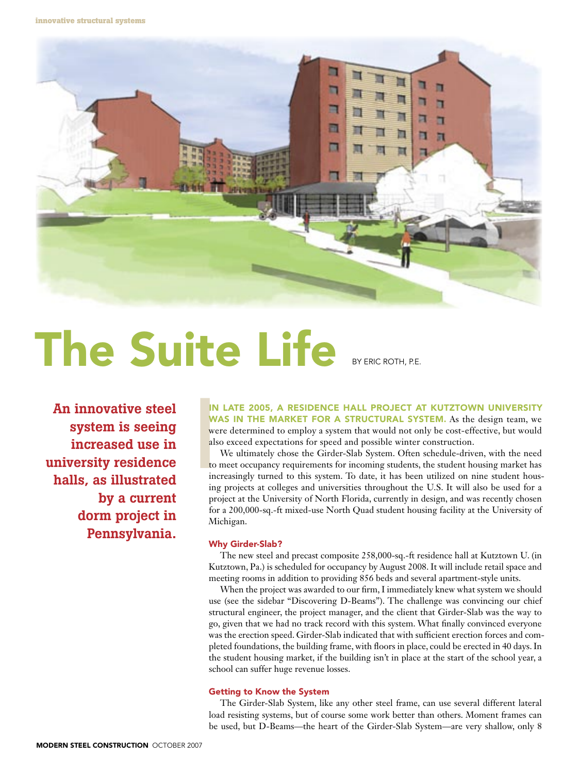**innovative structural systems**



# The Suite Life BYERIC ROTH, P.E.

An innovative steel system is seeing increased use in university residence halls, as illustrated by a current dorm project in Pennsylvania.

In late 2005, a residence hall project at Kutztown University WAS IN THE MARKET FOR A STRUCTURAL SYSTEM. As the design team, we were determined to employ a system that would not only be cost-effective, but would also exceed expectations for speed and possible winter construction.

IN<br>
W.<br>
we<br>
als<br>
to<br>
to<br>
ing<br>
ing We ultimately chose the Girder-Slab System. Often schedule-driven, with the need to meet occupancy requirements for incoming students, the student housing market has increasingly turned to this system. To date, it has been utilized on nine student housing projects at colleges and universities throughout the U.S. It will also be used for a project at the University of North Florida, currently in design, and was recently chosen for a 200,000-sq.-ft mixed-use North Quad student housing facility at the University of Michigan.

# Why Girder-Slab?

The new steel and precast composite 258,000-sq.-ft residence hall at Kutztown U. (in Kutztown, Pa.) is scheduled for occupancy by August 2008. It will include retail space and meeting rooms in addition to providing 856 beds and several apartment-style units.

When the project was awarded to our firm, I immediately knew what system we should use (see the sidebar "Discovering D-Beams"). The challenge was convincing our chief structural engineer, the project manager, and the client that Girder-Slab was the way to go, given that we had no track record with this system. What finally convinced everyone was the erection speed. Girder-Slab indicated that with sufficient erection forces and completed foundations, the building frame, with floors in place, could be erected in 40 days. In the student housing market, if the building isn't in place at the start of the school year, a school can suffer huge revenue losses.

# Getting to Know the System

The Girder-Slab System, like any other steel frame, can use several different lateral load resisting systems, but of course some work better than others. Moment frames can be used, but D-Beams—the heart of the Girder-Slab System—are very shallow, only 8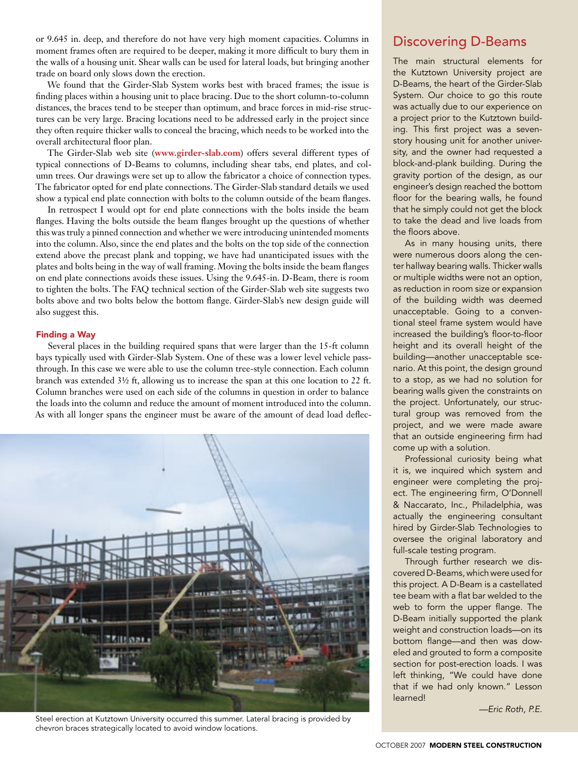or 9.645 in. deep, and therefore do not have very high moment capacities. Columns in moment frames often are required to be deeper, making it more difficult to bury them in the walls of a housing unit. Shear walls can be used for lateral loads, but bringing another trade on board only slows down the erection.

We found that the Girder-Slab System works best with braced frames; the issue is finding places within a housing unit to place bracing. Due to the short column-to-column distances, the braces tend to be steeper than optimum, and brace forces in mid-rise structures can be very large. Bracing locations need to be addressed early in the project since they often require thicker walls to conceal the bracing, which needs to be worked into the overall architectural floor plan.

The Girder-Slab web site (**www.girder-slab.com**) offers several different types of typical connections of D-Beams to columns, including shear tabs, end plates, and column trees. Our drawings were set up to allow the fabricator a choice of connection types. The fabricator opted for end plate connections. The Girder-Slab standard details we used show a typical end plate connection with bolts to the column outside of the beam flanges.

In retrospect I would opt for end plate connections with the bolts inside the beam flanges. Having the bolts outside the beam flanges brought up the questions of whether this was truly a pinned connection and whether we were introducing unintended moments into the column. Also, since the end plates and the bolts on the top side of the connection extend above the precast plank and topping, we have had unanticipated issues with the plates and bolts being in the way of wall framing. Moving the bolts inside the beam flanges on end plate connections avoids these issues. Using the 9.645-in. D-Beam, there is room to tighten the bolts. The FAQ technical section of the Girder-Slab web site suggests two bolts above and two bolts below the bottom flange. Girder-Slab's new design guide will also suggest this.

## Finding a Way

Several places in the building required spans that were larger than the 15-ft column bays typically used with Girder-Slab System. One of these was a lower level vehicle passthrough. In this case we were able to use the column tree-style connection. Each column branch was extended 3½ ft, allowing us to increase the span at this one location to 22 ft. Column branches were used on each side of the columns in question in order to balance the loads into the column and reduce the amount of moment introduced into the column. As with all longer spans the engineer must be aware of the amount of dead load deflec-



Steel erection at Kutztown University occurred this summer. Lateral bracing is provided by chevron braces strategically located to avoid window locations.

# Discovering D-Beams

The main structural elements for the Kutztown University project are D-Beams, the heart of the Girder-Slab System. Our choice to go this route was actually due to our experience on a project prior to the Kutztown building. This first project was a sevenstory housing unit for another university, and the owner had requested a block-and-plank building. During the gravity portion of the design, as our engineer's design reached the bottom floor for the bearing walls, he found that he simply could not get the block to take the dead and live loads from the floors above.

As in many housing units, there were numerous doors along the center hallway bearing walls. Thicker walls or multiple widths were not an option, as reduction in room size or expansion of the building width was deemed unacceptable. Going to a conventional steel frame system would have increased the building's floor-to-floor height and its overall height of the building—another unacceptable scenario. At this point, the design ground to a stop, as we had no solution for bearing walls given the constraints on the project. Unfortunately, our structural group was removed from the project, and we were made aware that an outside engineering firm had come up with a solution.

Professional curiosity being what it is, we inquired which system and engineer were completing the project. The engineering firm, O'Donnell & Naccarato, Inc., Philadelphia, was actually the engineering consultant hired by Girder-Slab Technologies to oversee the original laboratory and full-scale testing program.

Through further research we discovered D-Beams, which were used for this project. A D-Beam is a castellated tee beam with a flat bar welded to the web to form the upper flange. The D-Beam initially supported the plank weight and construction loads—on its bottom flange—and then was doweled and grouted to form a composite section for post-erection loads. I was left thinking, "We could have done that if we had only known." Lesson learned!

*—Eric Roth, P.E.*